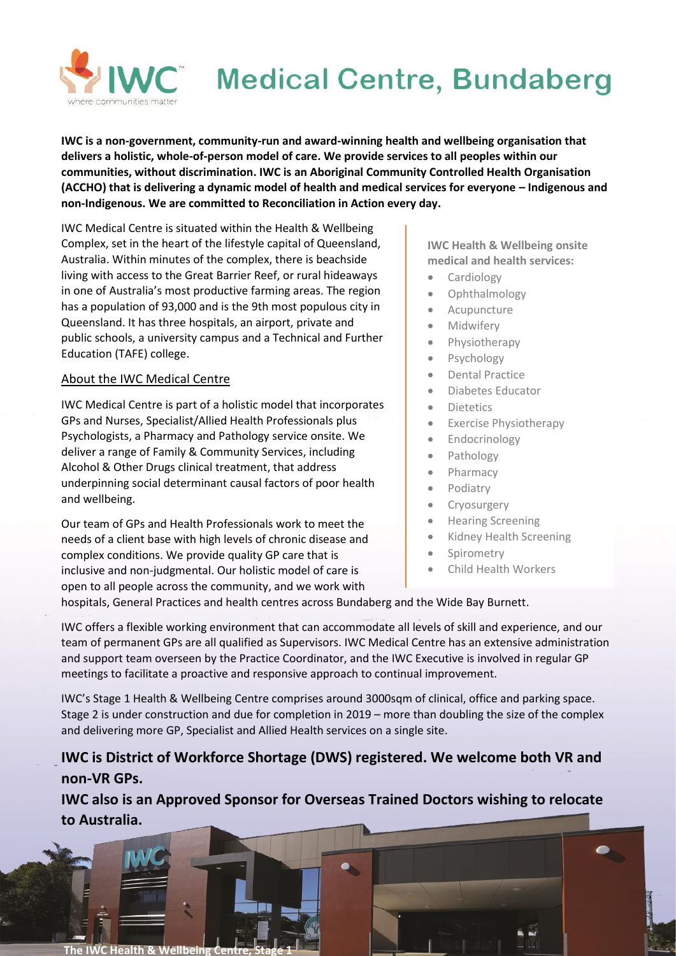

# **Medical Centre, Bundaberg**

**IWC is a non-government, community-run and award-winning health and wellbeing organisation that delivers a holistic, whole-of-person model of care. We provide services to all peoples within our communities, without discrimination. IWC is an Aboriginal Community Controlled Health Organisation (ACCHO) that is delivering a dynamic model of health and medical services for everyone – Indigenous and non-Indigenous. We are committed to Reconciliation in Action every day.**

IWC Medical Centre is situated within the Health & Wellbeing Complex, set in the heart of the lifestyle capital of Queensland, Australia. Within minutes of the complex, there is beachside living with access to the Great Barrier Reef, or rural hideaways in one of Australia's most productive farming areas. The region has a population of 93,000 and is the 9th most populous city in Queensland. It has three hospitals, an airport, private and public schools, a university campus and a Technical and Further Education (TAFE) college.

#### About the IWC Medical Centre

IWC Medical Centre is part of a holistic model that incorporates GPs and Nurses, Specialist/Allied Health Professionals plus Psychologists, a Pharmacy and Pathology service onsite. We deliver a range of Family & Community Services, including Alcohol & Other Drugs clinical treatment, that address underpinning social determinant causal factors of poor health and wellbeing.

Our team of GPs and Health Professionals work to meet the needs of a client base with high levels of chronic disease and complex conditions. We provide quality GP care that is inclusive and non-judgmental. Our holistic model of care is open to all people across the community, and we work with

**IWC Health & Wellbeing onsite medical and health services:**

- **Cardiology**
- Ophthalmology
- Acupuncture
- Midwifery
- Physiotherapy
- Psychology
- Dental Practice
- Diabetes Educator
- Dietetics
- **Exercise Physiotherapy**
- Endocrinology
- Pathology
- Pharmacy
- Podiatry
- Cryosurgery
- Hearing Screening
- Kidney Health Screening
- Spirometry
- Child Health Workers

hospitals, General Practices and health centres across Bundaberg and the Wide Bay Burnett.

IWC offers a flexible working environment that can accommodate all levels of skill and experience, and our team of permanent GPs are all qualified as Supervisors. IWC Medical Centre has an extensive administration and support team overseen by the Practice Coordinator, and the IWC Executive is involved in regular GP meetings to facilitate a proactive and responsive approach to continual improvement.

IWC's Stage 1 Health & Wellbeing Centre comprises around 3000sqm of clinical, office and parking space. Stage 2 is under construction and due for completion in 2019 – more than doubling the size of the complex and delivering more GP, Specialist and Allied Health services on a single site.

### **IWC is District of Workforce Shortage (DWS) registered. We welcome both VR and non-VR GPs.**

**IWC also is an Approved Sponsor for Overseas Trained Doctors wishing to relocate to Australia.**